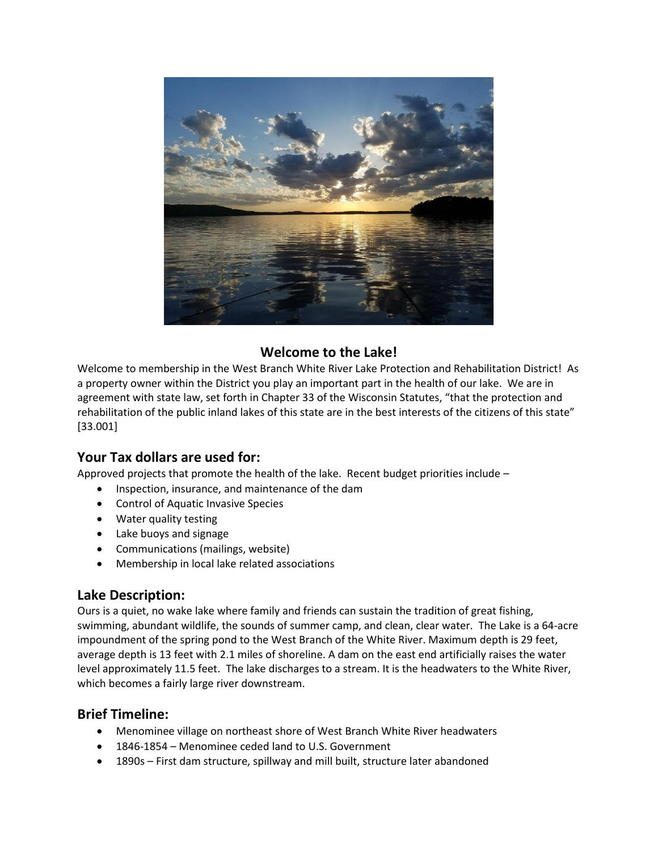

# **Welcome to the Lake!**

Welcome to membership in the West Branch White River Lake Protection and Rehabilitation District! As a property owner within the District you play an important part in the health of our lake. We are in agreement with state law, set forth in Chapter 33 of the Wisconsin Statutes, "that the protection and rehabilitation of the public inland lakes of this state are in the best interests of the citizens of this state" [33.001]

## **Your Tax dollars are used for:**

Approved projects that promote the health of the lake. Recent budget priorities include –

- Inspection, insurance, and maintenance of the dam
- Control of Aquatic Invasive Species
- Water quality testing
- Lake buoys and signage
- Communications (mailings, website)
- Membership in local lake related associations

## **Lake Description:**

Ours is a quiet, no wake lake where family and friends can sustain the tradition of great fishing, swimming, abundant wildlife, the sounds of summer camp, and clean, clear water. The Lake is a 64-acre impoundment of the spring pond to the West Branch of the White River. Maximum depth is 29 feet, average depth is 13 feet with 2.1 miles of shoreline. A dam on the east end artificially raises the water level approximately 11.5 feet. The lake discharges to a stream. It is the headwaters to the White River, which becomes a fairly large river downstream.

# **Brief Timeline:**

- Menominee village on northeast shore of West Branch White River headwaters
- 1846-1854 Menominee ceded land to U.S. Government
- 1890s First dam structure, spillway and mill built, structure later abandoned